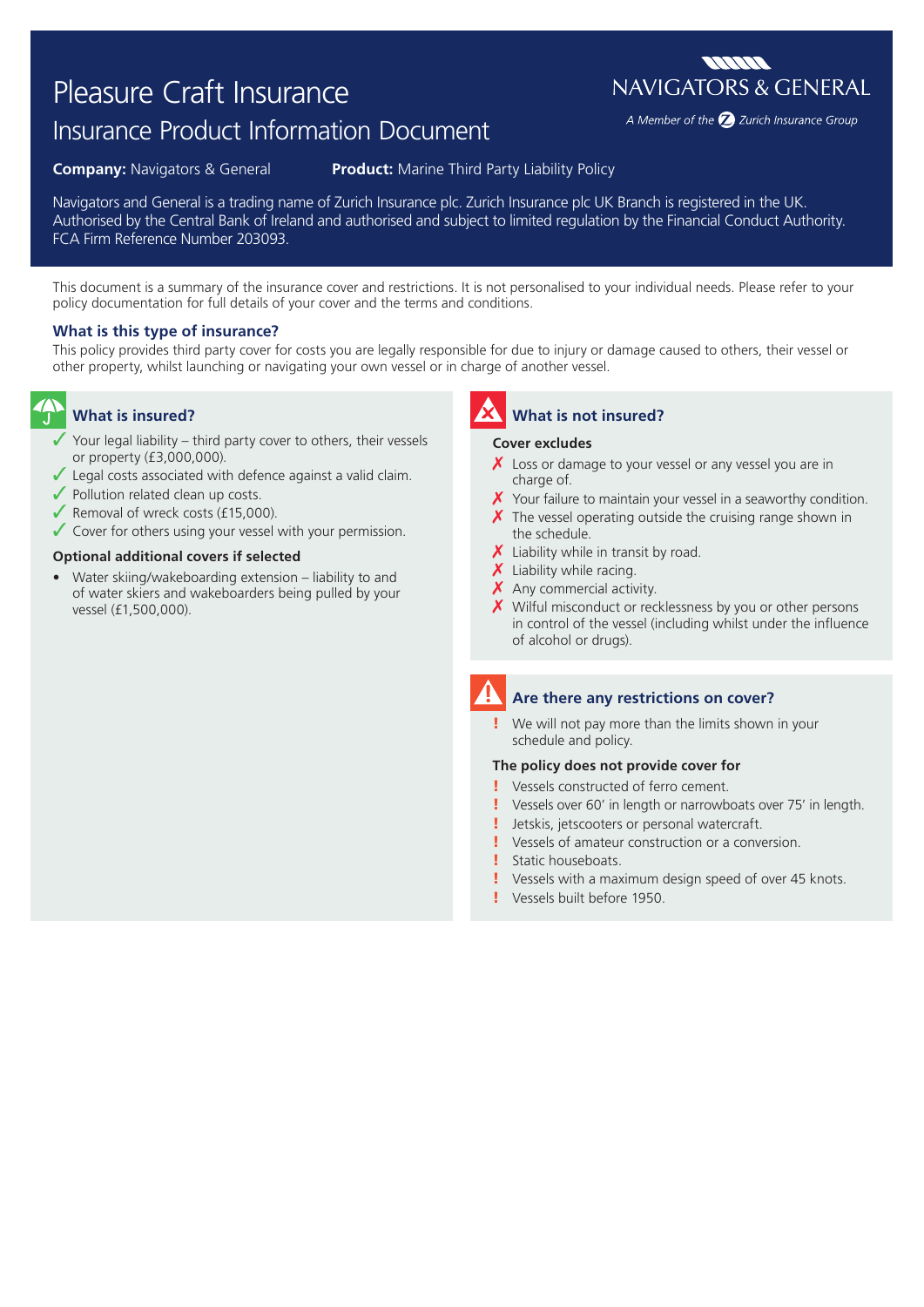# Pleasure Craft Insurance

# Insurance Product Information Document

**Company:** Navigators & General **Product:** Marine Third Party Liability Policy

Navigators and General is a trading name of Zurich Insurance plc. Zurich Insurance plc UK Branch is registered in the UK. Authorised by the Central Bank of Ireland and authorised and subject to limited regulation by the Financial Conduct Authority. FCA Firm Reference Number 203093.

This document is a summary of the insurance cover and restrictions. It is not personalised to your individual needs. Please refer to your policy documentation for full details of your cover and the terms and conditions.

### **What is this type of insurance?**

This policy provides third party cover for costs you are legally responsible for due to injury or damage caused to others, their vessel or other property, whilst launching or navigating your own vessel or in charge of another vessel.

# **What is insured?**

- Your legal liability third party cover to others, their vessels or property (£3,000,000).
- $\checkmark$  Legal costs associated with defence against a valid claim.
- $\sqrt{\ }$  Pollution related clean up costs.
- $\sqrt{\ }$  Removal of wreck costs (£15,000).
- ◆ Cover for others using your vessel with your permission.

#### **Optional additional covers if selected**

• Water skiing/wakeboarding extension – liability to and of water skiers and wakeboarders being pulled by your vessel (£1,500,000).

**What is not insured?**

#### **Cover excludes**

- $\chi$  Loss or damage to your vessel or any vessel you are in charge of.
- $\chi$  Your failure to maintain your vessel in a seaworthy condition.
- $\chi$  The vessel operating outside the cruising range shown in the schedule.
- $\chi$  Liability while in transit by road.
- $\boldsymbol{X}$  Liability while racing.
- X Any commercial activity.
- X Wilful misconduct or recklessness by you or other persons in control of the vessel (including whilst under the influence of alcohol or drugs).

## **Are there any restrictions on cover?**

We will not pay more than the limits shown in your schedule and policy.

#### **The policy does not provide cover for**

- ! Vessels constructed of ferro cement.
- ! Vessels over 60' in length or narrowboats over 75' in length.
- ! Jetskis, jetscooters or personal watercraft.
- ! Vessels of amateur construction or a conversion.
- ! Static houseboats.
- Vessels with a maximum design speed of over 45 knots.
- ! Vessels built before 1950.



A Member of the 2 Zurich Insurance Group